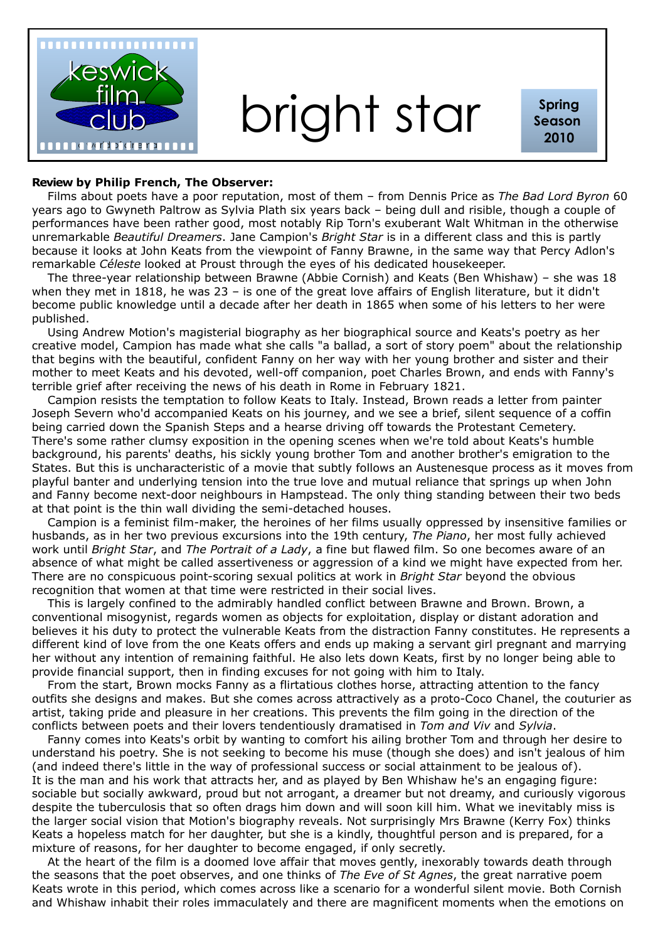

## bright star **Spring**

**Season 2010**

## **Review by Philip French, The Observer:**

 Films about poets have a poor reputation, most of them – from Dennis Price as *The Bad Lord Byron* 60 years ago to Gwyneth Paltrow as Sylvia Plath six years back – being dull and risible, though a couple of performances have been rather good, most notably Rip Torn's exuberant Walt Whitman in the otherwise unremarkable *Beautiful Dreamers*. [Jane Campion](http://www.guardian.co.uk/film/2009/oct/18/jane-campion-interview-peter-conrad)'s *[Bright Star](http://www.guardian.co.uk/film/movie/129894/bright-star)* is in a different class and this is partly because it looks at [John Keats](http://www.guardian.co.uk/books/johnkeats) from the viewpoint of Fanny Brawne, in the same way that Percy Adlon's remarkable *Céleste* looked at Proust through the eyes of his dedicated housekeeper.

 The three-year relationship between Brawne (Abbie Cornish) and Keats (Ben Whishaw) – she was 18 when they met in 1818, he was 23 – is one of the great love affairs of English literature, but it didn't become public knowledge until a decade after her death in 1865 when some of his letters to her were published.

 Using Andrew Motion's magisterial biography as her biographical source and Keats's poetry as her creative model, Campion has made what she calls "a ballad, a sort of story poem" about the relationship that begins with the beautiful, confident Fanny on her way with her young brother and sister and their mother to meet Keats and his devoted, well-off companion, poet Charles Brown, and ends with Fanny's terrible grief after receiving the news of his death in Rome in February 1821.

 Campion resists the temptation to follow Keats to Italy. Instead, Brown reads a letter from painter Joseph Severn who'd accompanied Keats on his journey, and we see a brief, silent sequence of a coffin being carried down the Spanish Steps and a hearse driving off towards the Protestant Cemetery. There's some rather clumsy exposition in the opening scenes when we're told about Keats's humble background, his parents' deaths, his sickly young brother Tom and another brother's emigration to the States. But this is uncharacteristic of a movie that subtly follows an Austenesque process as it moves from playful banter and underlying tension into the true love and mutual reliance that springs up when John and Fanny become next-door neighbours in Hampstead. The only thing standing between their two beds at that point is the thin wall dividing the semi-detached houses.

 Campion is a feminist film-maker, the heroines of her films usually oppressed by insensitive families or husbands, as in her two previous excursions into the 19th century, *The Piano*, her most fully achieved work until *Bright Star*, and *The Portrait of a Lady*, a fine but flawed film. So one becomes aware of an absence of what might be called assertiveness or aggression of a kind we might have expected from her. There are no conspicuous point-scoring sexual politics at work in *Bright Star* beyond the obvious recognition that women at that time were restricted in their social lives.

 This is largely confined to the admirably handled conflict between Brawne and Brown. Brown, a conventional misogynist, regards women as objects for exploitation, display or distant adoration and believes it his duty to protect the vulnerable Keats from the distraction Fanny constitutes. He represents a different kind of love from the one Keats offers and ends up making a servant girl pregnant and marrying her without any intention of remaining faithful. He also lets down Keats, first by no longer being able to provide financial support, then in finding excuses for not going with him to Italy.

 From the start, Brown mocks Fanny as a flirtatious clothes horse, attracting attention to the fancy outfits she designs and makes. But she comes across attractively as a proto-Coco Chanel, the couturier as artist, taking pride and pleasure in her creations. This prevents the film going in the direction of the conflicts between poets and their lovers tendentiously dramatised in *Tom and Viv* and *Sylvia*.

 Fanny comes into Keats's orbit by wanting to comfort his ailing brother Tom and through her desire to understand his poetry. She is not seeking to become his muse (though she does) and isn't jealous of him (and indeed there's little in the way of professional success or social attainment to be jealous of). It is the man and his work that attracts her, and as played by Ben Whishaw he's an engaging figure: sociable but socially awkward, proud but not arrogant, a dreamer but not dreamy, and curiously vigorous despite the tuberculosis that so often drags him down and will soon kill him. What we inevitably miss is the larger social vision that Motion's biography reveals. Not surprisingly Mrs Brawne (Kerry Fox) thinks Keats a hopeless match for her daughter, but she is a kindly, thoughtful person and is prepared, for a mixture of reasons, for her daughter to become engaged, if only secretly.

 At the heart of the film is a doomed love affair that moves gently, inexorably towards death through the seasons that the poet observes, and one thinks of *The Eve of St Agnes*, the great narrative poem Keats wrote in this period, which comes across like a scenario for a wonderful silent movie. Both Cornish and Whishaw inhabit their roles immaculately and there are magnificent moments when the emotions on